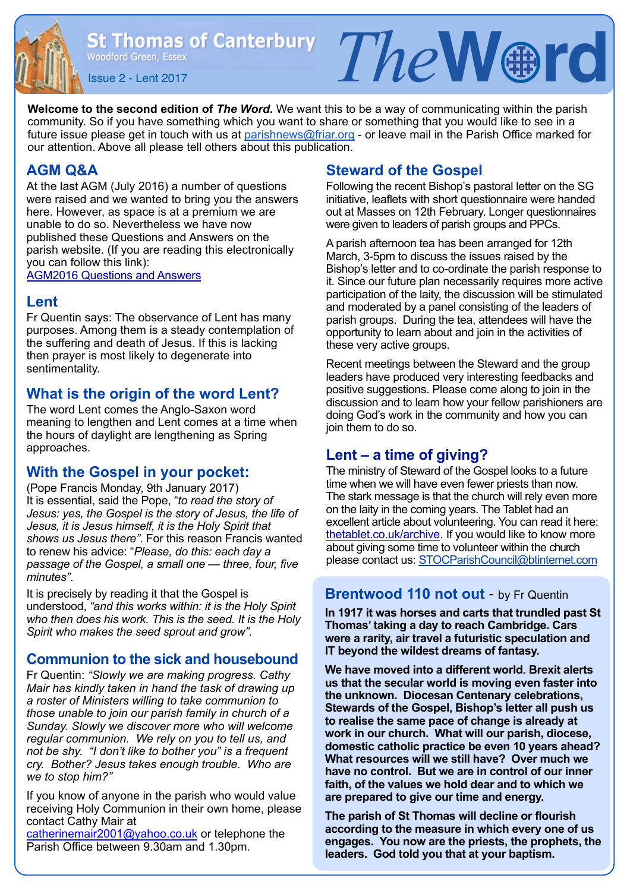St Thomas of Canterbury  $Tne$   $\mathbb{R}$   $\mathbb{R}$   $\mathbb{R}$   $\mathbb{R}$   $\mathbb{R}$ 

**Welcome to the second edition of** *The Word***.** We want this to be a way of communicating within the parish community. So if you have something which you want to share or something that you would like to see in a future issue please get in touch with us at [parishnews@friar.org](mailto:parishnews@friar.org) - or leave mail in the Parish Office marked for our attention. Above all please tell others about this publication.

### **AGM Q&A**

At the last AGM (July 2016) a number of questions were raised and we wanted to bring you the answers here. However, as space is at a premium we are unable to do so. Nevertheless we have now published these Questions and Answers on the parish website. (If you are reading this electronically you can follow this link):

[AGM2016 Questions and Answers](http://www.stthomaswoodford.org/parish/images/AGM%202016%20Questions%20and%20Answers.pdf)

#### **Lent**

Fr Quentin says: The observance of Lent has many purposes. Among them is a steady contemplation of the suffering and death of Jesus. If this is lacking then prayer is most likely to degenerate into sentimentality.

### **What is the origin of the word Lent?**

The word Lent comes the Anglo-Saxon word meaning to lengthen and Lent comes at a time when the hours of daylight are lengthening as Spring approaches.

### **With the Gospel in your pocket:**

(Pope Francis Monday, 9th January 2017) It is essential, said the Pope, "*to read the story of Jesus: yes, the Gospel is the story of Jesus, the life of Jesus, it is Jesus himself, it is the Holy Spirit that shows us Jesus there"*. For this reason Francis wanted to renew his advice: "*Please, do this: each day a passage of the Gospel, a small one — three, four, five minutes"*.

It is precisely by reading it that the Gospel is understood, *"and this works within: it is the Holy Spirit who then does his work. This is the seed. It is the Holy Spirit who makes the seed sprout and grow"*.

### **Communion to the sick and housebound**

Fr Quentin: *"Slowly we are making progress. Cathy Mair has kindly taken in hand the task of drawing up a roster of Ministers willing to take communion to those unable to join our parish family in church of a Sunday. Slowly we discover more who will welcome regular communion. We rely on you to tell us, and not be shy. "I don't like to bother you" is a frequent cry. Bother? Jesus takes enough trouble. Who are we to stop him?"* 

If you know of anyone in the parish who would value receiving Holy Communion in their own home, please contact Cathy Mair at

[catherinemair2001@yahoo.co.uk](mailto:catherinemair2001@yahoo.co.uk) or telephone the Parish Office between 9.30am and 1.30pm.

### **Steward of the Gospel**

Following the recent Bishop's pastoral letter on the SG initiative, leaflets with short questionnaire were handed out at Masses on 12th February. Longer questionnaires were given to leaders of parish groups and PPCs.

A parish afternoon tea has been arranged for 12th March, 3-5pm to discuss the issues raised by the Bishop's letter and to co-ordinate the parish response to it. Since our future plan necessarily requires more active participation of the laity, the discussion will be stimulated and moderated by a panel consisting of the leaders of parish groups. During the tea, attendees will have the opportunity to learn about and join in the activities of these very active groups.

Recent meetings between the Steward and the group leaders have produced very interesting feedbacks and positive suggestions. Please come along to join in the discussion and to learn how your fellow parishioners are doing God's work in the community and how you can join them to do so.

### **Lent – a time of giving?**

The ministry of Steward of the Gospel looks to a future time when we will have even fewer priests than now. The stark message is that the church will rely even more on the laity in the coming years. The Tablet had an excellent article about volunteering. You can read it here: [thetablet.co.uk/archive](http://thetablet.co.uk/archive). If you would like to know more about giving some time to volunteer within the church please contact us: [STOCParishCouncil@btinternet.com](mailto:STOCParishCouncil@btinternet.com)

### **Brentwood 110 not out** - by Fr Quentin

**In 1917 it was horses and carts that trundled past St Thomas' taking a day to reach Cambridge. Cars were a rarity, air travel a futuristic speculation and IT beyond the wildest dreams of fantasy.** 

**We have moved into a different world. Brexit alerts us that the secular world is moving even faster into the unknown. Diocesan Centenary celebrations, Stewards of the Gospel, Bishop's letter all push us to realise the same pace of change is already at work in our church. What will our parish, diocese, domestic catholic practice be even 10 years ahead? What resources will we still have? Over much we have no control. But we are in control of our inner faith, of the values we hold dear and to which we are prepared to give our time and energy.** 

**The parish of St Thomas will decline or flourish according to the measure in which every one of us engages. You now are the priests, the prophets, the leaders. God told you that at your baptism.**